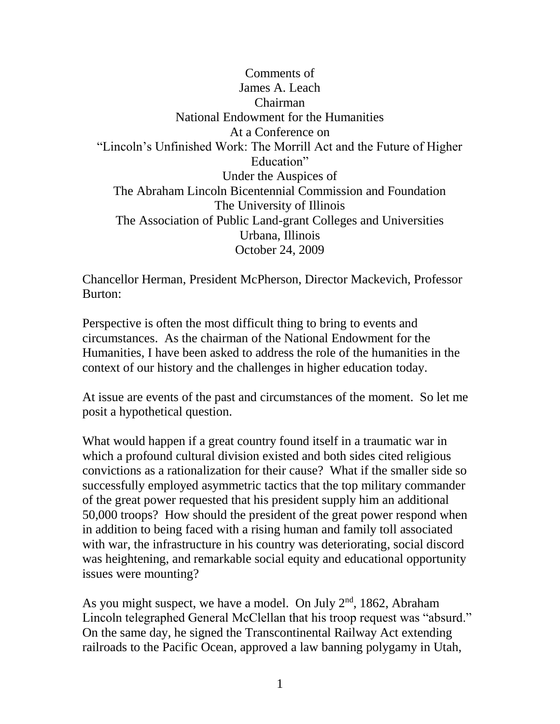Comments of James A. Leach Chairman National Endowment for the Humanities At a Conference on "Lincoln's Unfinished Work: The Morrill Act and the Future of Higher Education" Under the Auspices of The Abraham Lincoln Bicentennial Commission and Foundation The University of Illinois The Association of Public Land-grant Colleges and Universities Urbana, Illinois October 24, 2009

Chancellor Herman, President McPherson, Director Mackevich, Professor Burton:

Perspective is often the most difficult thing to bring to events and circumstances. As the chairman of the National Endowment for the Humanities, I have been asked to address the role of the humanities in the context of our history and the challenges in higher education today.

At issue are events of the past and circumstances of the moment. So let me posit a hypothetical question.

What would happen if a great country found itself in a traumatic war in which a profound cultural division existed and both sides cited religious convictions as a rationalization for their cause? What if the smaller side so successfully employed asymmetric tactics that the top military commander of the great power requested that his president supply him an additional 50,000 troops? How should the president of the great power respond when in addition to being faced with a rising human and family toll associated with war, the infrastructure in his country was deteriorating, social discord was heightening, and remarkable social equity and educational opportunity issues were mounting?

As you might suspect, we have a model. On July  $2<sup>nd</sup>$ , 1862, Abraham Lincoln telegraphed General McClellan that his troop request was "absurd." On the same day, he signed the Transcontinental Railway Act extending railroads to the Pacific Ocean, approved a law banning polygamy in Utah,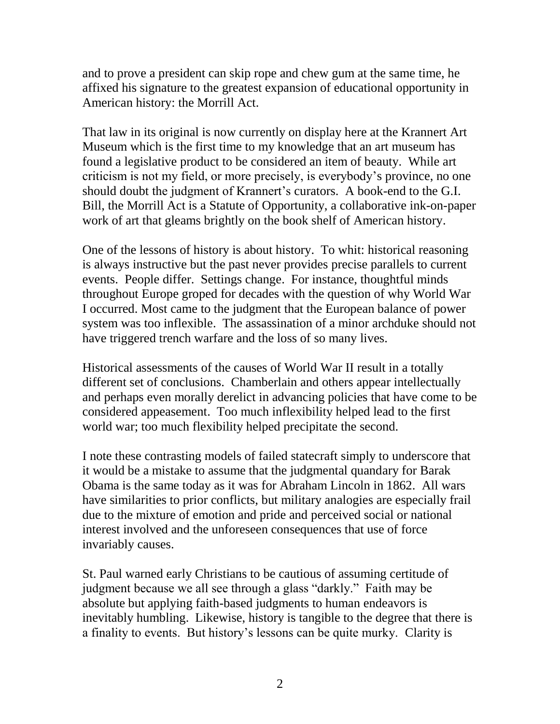and to prove a president can skip rope and chew gum at the same time, he affixed his signature to the greatest expansion of educational opportunity in American history: the Morrill Act.

That law in its original is now currently on display here at the Krannert Art Museum which is the first time to my knowledge that an art museum has found a legislative product to be considered an item of beauty. While art criticism is not my field, or more precisely, is everybody's province, no one should doubt the judgment of Krannert's curators. A book-end to the G.I. Bill, the Morrill Act is a Statute of Opportunity, a collaborative ink-on-paper work of art that gleams brightly on the book shelf of American history.

One of the lessons of history is about history. To whit: historical reasoning is always instructive but the past never provides precise parallels to current events. People differ. Settings change. For instance, thoughtful minds throughout Europe groped for decades with the question of why World War I occurred. Most came to the judgment that the European balance of power system was too inflexible. The assassination of a minor archduke should not have triggered trench warfare and the loss of so many lives.

Historical assessments of the causes of World War II result in a totally different set of conclusions. Chamberlain and others appear intellectually and perhaps even morally derelict in advancing policies that have come to be considered appeasement. Too much inflexibility helped lead to the first world war; too much flexibility helped precipitate the second.

I note these contrasting models of failed statecraft simply to underscore that it would be a mistake to assume that the judgmental quandary for Barak Obama is the same today as it was for Abraham Lincoln in 1862. All wars have similarities to prior conflicts, but military analogies are especially frail due to the mixture of emotion and pride and perceived social or national interest involved and the unforeseen consequences that use of force invariably causes.

St. Paul warned early Christians to be cautious of assuming certitude of judgment because we all see through a glass "darkly." Faith may be absolute but applying faith-based judgments to human endeavors is inevitably humbling. Likewise, history is tangible to the degree that there is a finality to events. But history's lessons can be quite murky. Clarity is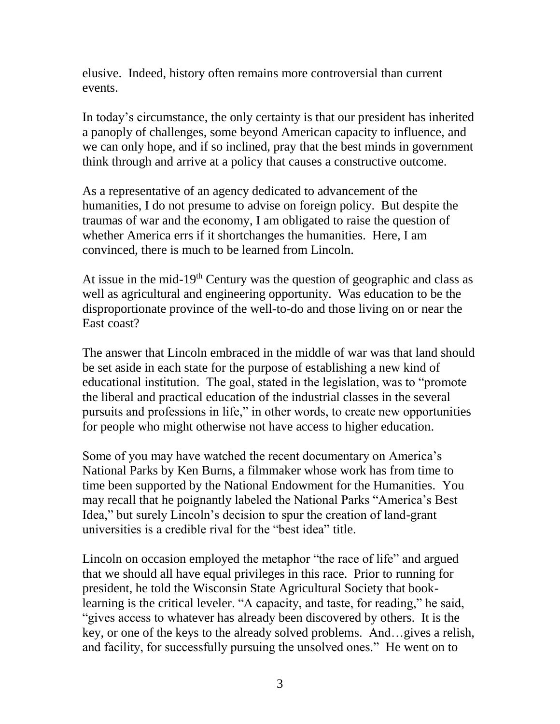elusive. Indeed, history often remains more controversial than current events.

In today's circumstance, the only certainty is that our president has inherited a panoply of challenges, some beyond American capacity to influence, and we can only hope, and if so inclined, pray that the best minds in government think through and arrive at a policy that causes a constructive outcome.

As a representative of an agency dedicated to advancement of the humanities, I do not presume to advise on foreign policy. But despite the traumas of war and the economy, I am obligated to raise the question of whether America errs if it shortchanges the humanities. Here, I am convinced, there is much to be learned from Lincoln.

At issue in the mid-19<sup>th</sup> Century was the question of geographic and class as well as agricultural and engineering opportunity. Was education to be the disproportionate province of the well-to-do and those living on or near the East coast?

The answer that Lincoln embraced in the middle of war was that land should be set aside in each state for the purpose of establishing a new kind of educational institution. The goal, stated in the legislation, was to "promote the liberal and practical education of the industrial classes in the several pursuits and professions in life," in other words, to create new opportunities for people who might otherwise not have access to higher education.

Some of you may have watched the recent documentary on America's National Parks by Ken Burns, a filmmaker whose work has from time to time been supported by the National Endowment for the Humanities. You may recall that he poignantly labeled the National Parks "America's Best Idea," but surely Lincoln's decision to spur the creation of land-grant universities is a credible rival for the "best idea" title.

Lincoln on occasion employed the metaphor "the race of life" and argued that we should all have equal privileges in this race. Prior to running for president, he told the Wisconsin State Agricultural Society that booklearning is the critical leveler. "A capacity, and taste, for reading," he said, "gives access to whatever has already been discovered by others. It is the key, or one of the keys to the already solved problems. And…gives a relish, and facility, for successfully pursuing the unsolved ones." He went on to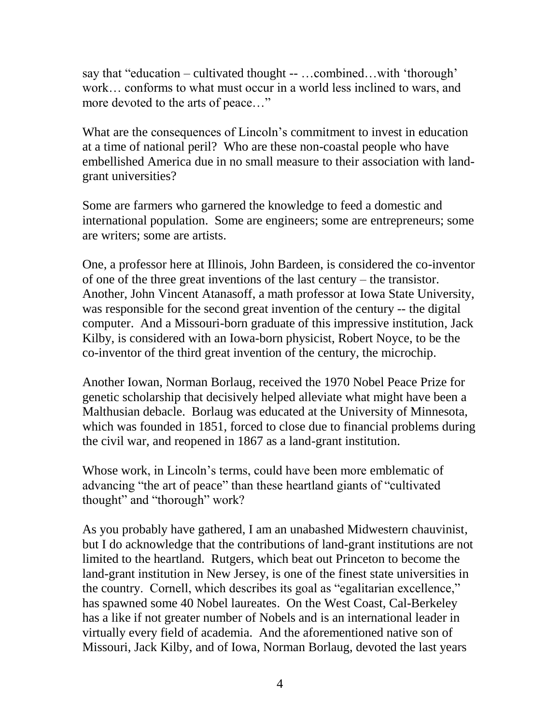say that "education – cultivated thought -- …combined…with 'thorough' work… conforms to what must occur in a world less inclined to wars, and more devoted to the arts of peace…"

What are the consequences of Lincoln's commitment to invest in education at a time of national peril? Who are these non-coastal people who have embellished America due in no small measure to their association with landgrant universities?

Some are farmers who garnered the knowledge to feed a domestic and international population. Some are engineers; some are entrepreneurs; some are writers; some are artists.

One, a professor here at Illinois, John Bardeen, is considered the co-inventor of one of the three great inventions of the last century – the transistor. Another, John Vincent Atanasoff, a math professor at Iowa State University, was responsible for the second great invention of the century -- the digital computer. And a Missouri-born graduate of this impressive institution, Jack Kilby, is considered with an Iowa-born physicist, Robert Noyce, to be the co-inventor of the third great invention of the century, the microchip.

Another Iowan, Norman Borlaug, received the 1970 Nobel Peace Prize for genetic scholarship that decisively helped alleviate what might have been a Malthusian debacle. Borlaug was educated at the University of Minnesota, which was founded in 1851, forced to close due to financial problems during the civil war, and reopened in 1867 as a land-grant institution.

Whose work, in Lincoln's terms, could have been more emblematic of advancing "the art of peace" than these heartland giants of "cultivated thought" and "thorough" work?

As you probably have gathered, I am an unabashed Midwestern chauvinist, but I do acknowledge that the contributions of land-grant institutions are not limited to the heartland. Rutgers, which beat out Princeton to become the land-grant institution in New Jersey, is one of the finest state universities in the country. Cornell, which describes its goal as "egalitarian excellence," has spawned some 40 Nobel laureates. On the West Coast, Cal-Berkeley has a like if not greater number of Nobels and is an international leader in virtually every field of academia. And the aforementioned native son of Missouri, Jack Kilby, and of Iowa, Norman Borlaug, devoted the last years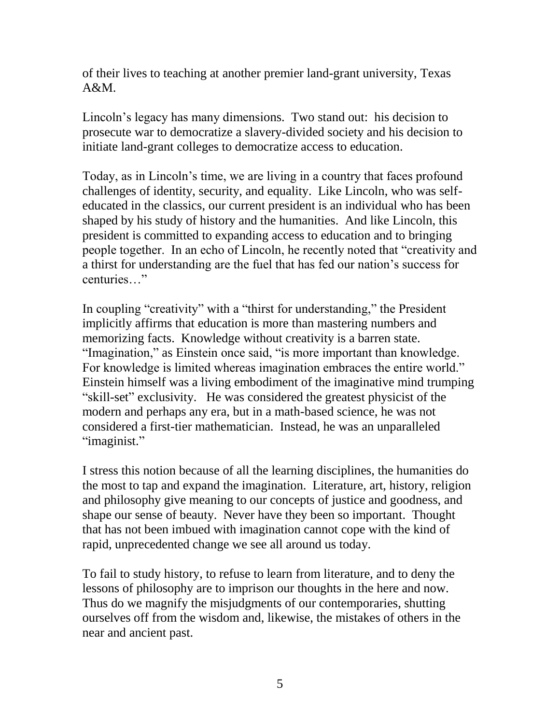of their lives to teaching at another premier land-grant university, Texas  $A&M$ .

Lincoln's legacy has many dimensions. Two stand out: his decision to prosecute war to democratize a slavery-divided society and his decision to initiate land-grant colleges to democratize access to education.

Today, as in Lincoln's time, we are living in a country that faces profound challenges of identity, security, and equality. Like Lincoln, who was selfeducated in the classics, our current president is an individual who has been shaped by his study of history and the humanities. And like Lincoln, this president is committed to expanding access to education and to bringing people together. In an echo of Lincoln, he recently noted that "creativity and a thirst for understanding are the fuel that has fed our nation's success for centuries…"

In coupling "creativity" with a "thirst for understanding," the President implicitly affirms that education is more than mastering numbers and memorizing facts. Knowledge without creativity is a barren state. "Imagination," as Einstein once said, "is more important than knowledge. For knowledge is limited whereas imagination embraces the entire world." Einstein himself was a living embodiment of the imaginative mind trumping "skill-set" exclusivity. He was considered the greatest physicist of the modern and perhaps any era, but in a math-based science, he was not considered a first-tier mathematician. Instead, he was an unparalleled "imaginist."

I stress this notion because of all the learning disciplines, the humanities do the most to tap and expand the imagination. Literature, art, history, religion and philosophy give meaning to our concepts of justice and goodness, and shape our sense of beauty. Never have they been so important. Thought that has not been imbued with imagination cannot cope with the kind of rapid, unprecedented change we see all around us today.

To fail to study history, to refuse to learn from literature, and to deny the lessons of philosophy are to imprison our thoughts in the here and now. Thus do we magnify the misjudgments of our contemporaries, shutting ourselves off from the wisdom and, likewise, the mistakes of others in the near and ancient past.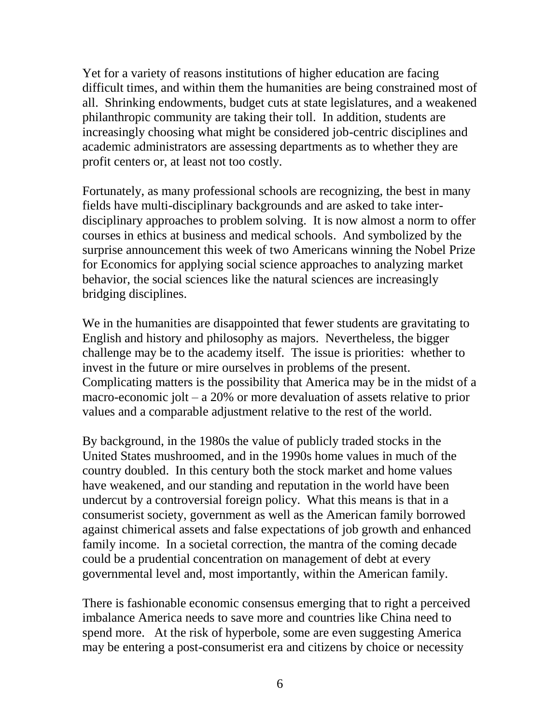Yet for a variety of reasons institutions of higher education are facing difficult times, and within them the humanities are being constrained most of all. Shrinking endowments, budget cuts at state legislatures, and a weakened philanthropic community are taking their toll. In addition, students are increasingly choosing what might be considered job-centric disciplines and academic administrators are assessing departments as to whether they are profit centers or, at least not too costly.

Fortunately, as many professional schools are recognizing, the best in many fields have multi-disciplinary backgrounds and are asked to take interdisciplinary approaches to problem solving. It is now almost a norm to offer courses in ethics at business and medical schools. And symbolized by the surprise announcement this week of two Americans winning the Nobel Prize for Economics for applying social science approaches to analyzing market behavior, the social sciences like the natural sciences are increasingly bridging disciplines.

We in the humanities are disappointed that fewer students are gravitating to English and history and philosophy as majors. Nevertheless, the bigger challenge may be to the academy itself. The issue is priorities: whether to invest in the future or mire ourselves in problems of the present. Complicating matters is the possibility that America may be in the midst of a macro-economic jolt – a 20% or more devaluation of assets relative to prior values and a comparable adjustment relative to the rest of the world.

By background, in the 1980s the value of publicly traded stocks in the United States mushroomed, and in the 1990s home values in much of the country doubled. In this century both the stock market and home values have weakened, and our standing and reputation in the world have been undercut by a controversial foreign policy. What this means is that in a consumerist society, government as well as the American family borrowed against chimerical assets and false expectations of job growth and enhanced family income. In a societal correction, the mantra of the coming decade could be a prudential concentration on management of debt at every governmental level and, most importantly, within the American family.

There is fashionable economic consensus emerging that to right a perceived imbalance America needs to save more and countries like China need to spend more. At the risk of hyperbole, some are even suggesting America may be entering a post-consumerist era and citizens by choice or necessity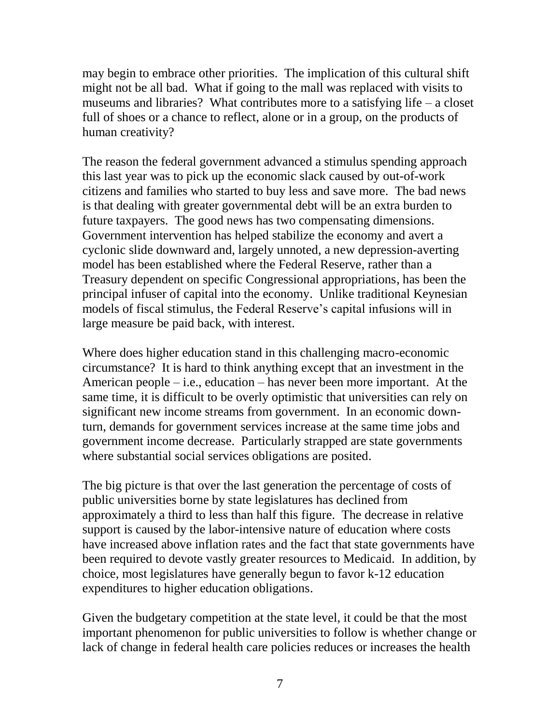may begin to embrace other priorities. The implication of this cultural shift might not be all bad. What if going to the mall was replaced with visits to museums and libraries? What contributes more to a satisfying life – a closet full of shoes or a chance to reflect, alone or in a group, on the products of human creativity?

The reason the federal government advanced a stimulus spending approach this last year was to pick up the economic slack caused by out-of-work citizens and families who started to buy less and save more. The bad news is that dealing with greater governmental debt will be an extra burden to future taxpayers. The good news has two compensating dimensions. Government intervention has helped stabilize the economy and avert a cyclonic slide downward and, largely unnoted, a new depression-averting model has been established where the Federal Reserve, rather than a Treasury dependent on specific Congressional appropriations, has been the principal infuser of capital into the economy. Unlike traditional Keynesian models of fiscal stimulus, the Federal Reserve's capital infusions will in large measure be paid back, with interest.

Where does higher education stand in this challenging macro-economic circumstance? It is hard to think anything except that an investment in the American people – i.e., education – has never been more important. At the same time, it is difficult to be overly optimistic that universities can rely on significant new income streams from government. In an economic downturn, demands for government services increase at the same time jobs and government income decrease. Particularly strapped are state governments where substantial social services obligations are posited.

The big picture is that over the last generation the percentage of costs of public universities borne by state legislatures has declined from approximately a third to less than half this figure. The decrease in relative support is caused by the labor-intensive nature of education where costs have increased above inflation rates and the fact that state governments have been required to devote vastly greater resources to Medicaid. In addition, by choice, most legislatures have generally begun to favor k-12 education expenditures to higher education obligations.

Given the budgetary competition at the state level, it could be that the most important phenomenon for public universities to follow is whether change or lack of change in federal health care policies reduces or increases the health